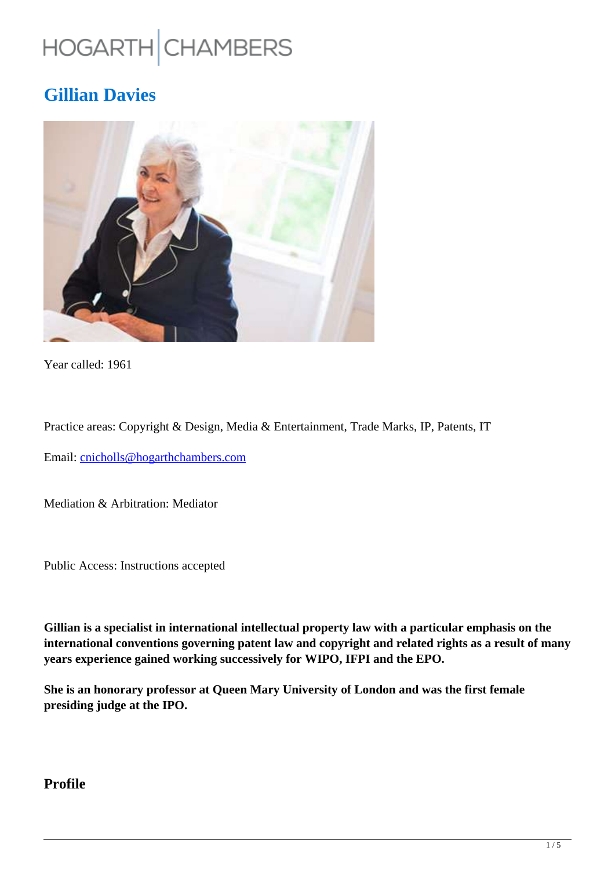# HOGARTH CHAMBERS

# **Gillian Davies**



Year called: 1961

Practice areas: Copyright & Design, Media & Entertainment, Trade Marks, IP, Patents, IT

Email: cnicholls@hogarthchambers.com

Mediation & Arbitration: Mediator

Public Access: Instructions accepted

**Gillian is a specialist in international intellectual property law with a particular emphasis on the international conventions governing patent law and copyright and related rights as a result of many years experience gained working successively for WIPO, IFPI and the EPO.**

**She is an honorary professor at Queen Mary University of London and was the first female presiding judge at the IPO.**

#### **Profile**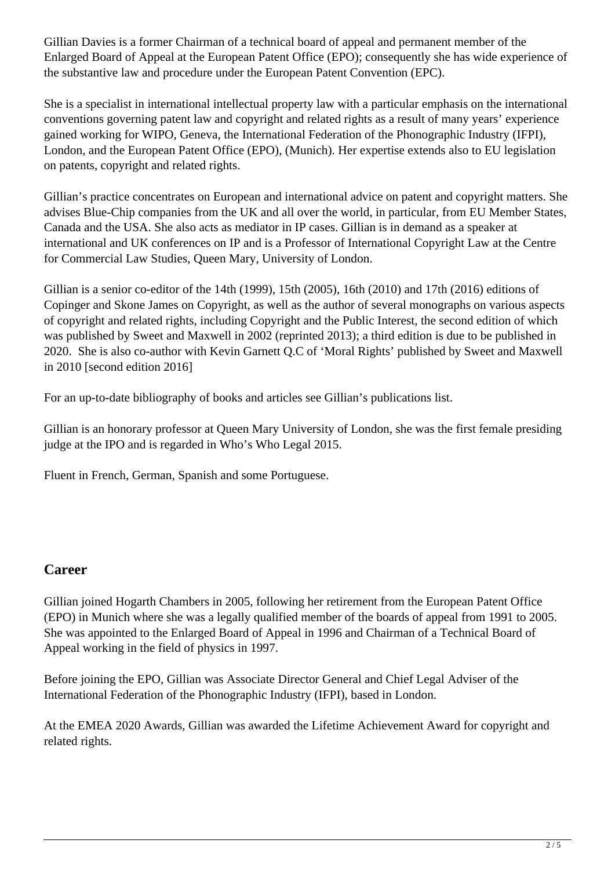Gillian Davies is a former Chairman of a technical board of appeal and permanent member of the Enlarged Board of Appeal at the European Patent Office (EPO); consequently she has wide experience of the substantive law and procedure under the European Patent Convention (EPC).

She is a specialist in international intellectual property law with a particular emphasis on the international conventions governing patent law and copyright and related rights as a result of many years' experience gained working for WIPO, Geneva, the International Federation of the Phonographic Industry (IFPI), London, and the European Patent Office (EPO), (Munich). Her expertise extends also to EU legislation on patents, copyright and related rights.

Gillian's practice concentrates on European and international advice on patent and copyright matters. She advises Blue-Chip companies from the UK and all over the world, in particular, from EU Member States, Canada and the USA. She also acts as mediator in IP cases. Gillian is in demand as a speaker at international and UK conferences on IP and is a Professor of International Copyright Law at the Centre for Commercial Law Studies, Queen Mary, University of London.

Gillian is a senior co-editor of the 14th (1999), 15th (2005), 16th (2010) and 17th (2016) editions of Copinger and Skone James on Copyright, as well as the author of several monographs on various aspects of copyright and related rights, including Copyright and the Public Interest, the second edition of which was published by Sweet and Maxwell in 2002 (reprinted 2013); a third edition is due to be published in 2020. She is also co-author with Kevin Garnett Q.C of 'Moral Rights' published by Sweet and Maxwell in 2010 [second edition 2016]

For an up-to-date bibliography of books and articles see Gillian's publications list.

Gillian is an honorary professor at Queen Mary University of London, she was the first female presiding judge at the IPO and is regarded in Who's Who Legal 2015.

Fluent in French, German, Spanish and some Portuguese.

#### **Career**

Gillian joined Hogarth Chambers in 2005, following her retirement from the European Patent Office (EPO) in Munich where she was a legally qualified member of the boards of appeal from 1991 to 2005. She was appointed to the Enlarged Board of Appeal in 1996 and Chairman of a Technical Board of Appeal working in the field of physics in 1997.

Before joining the EPO, Gillian was Associate Director General and Chief Legal Adviser of the International Federation of the Phonographic Industry (IFPI), based in London.

At the EMEA 2020 Awards, Gillian was awarded the Lifetime Achievement Award for copyright and related rights.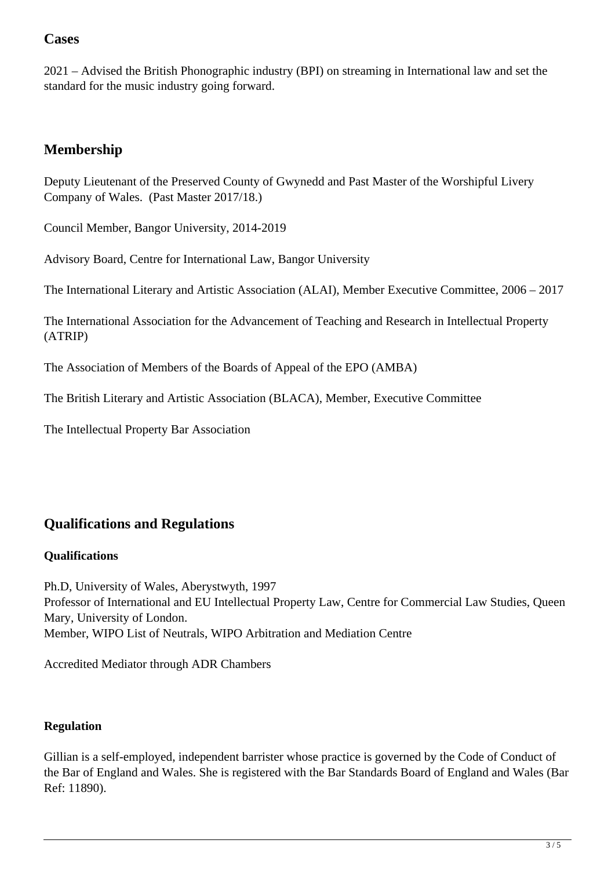#### **Cases**

2021 – Advised the British Phonographic industry (BPI) on streaming in International law and set the standard for the music industry going forward.

### **Membership**

Deputy Lieutenant of the Preserved County of Gwynedd and Past Master of the Worshipful Livery Company of Wales. (Past Master 2017/18.)

Council Member, Bangor University, 2014-2019

Advisory Board, Centre for International Law, Bangor University

The International Literary and Artistic Association (ALAI), Member Executive Committee, 2006 – 2017

The International Association for the Advancement of Teaching and Research in Intellectual Property (ATRIP)

The Association of Members of the Boards of Appeal of the EPO (AMBA)

The British Literary and Artistic Association (BLACA), Member, Executive Committee

The Intellectual Property Bar Association

## **Qualifications and Regulations**

#### **Qualifications**

Ph.D, University of Wales, Aberystwyth, 1997 Professor of International and EU Intellectual Property Law, Centre for Commercial Law Studies, Queen Mary, University of London. Member, WIPO List of Neutrals, WIPO Arbitration and Mediation Centre

Accredited Mediator through ADR Chambers

#### **Regulation**

Gillian is a self-employed, independent barrister whose practice is governed by the Code of Conduct of the Bar of England and Wales. She is registered with the Bar Standards Board of England and Wales (Bar Ref: 11890).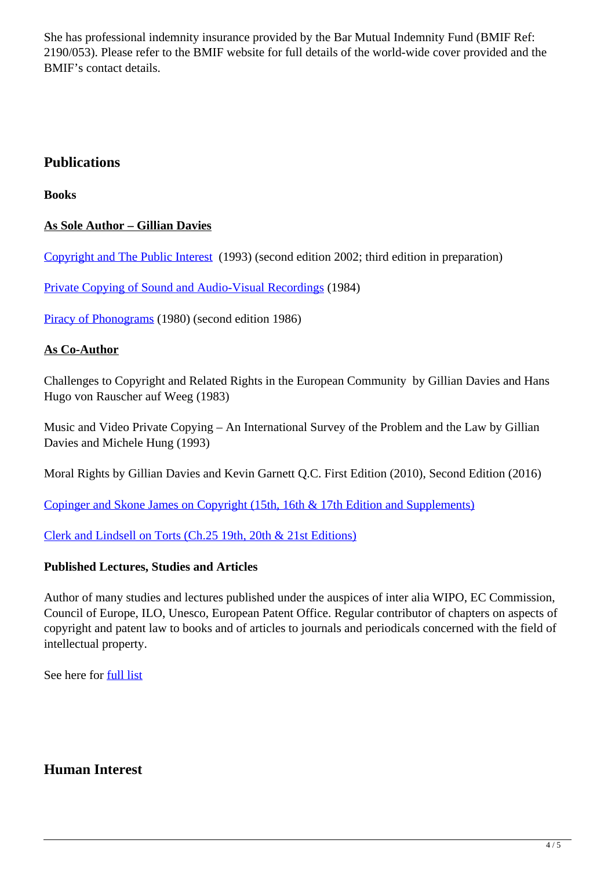She has professional indemnity insurance provided by the Bar Mutual Indemnity Fund (BMIF Ref: 2190/053). Please refer to the BMIF website for full details of the world-wide cover provided and the BMIF's contact details.

#### **Publications**

**Books**

#### **As Sole Author – Gillian Davies**

Copyright and The Public Interest (1993) (second edition 2002; third edition in preparation)

Private Copying of Sound and Audio-Visual Recordings (1984)

Piracy of Phonograms (1980) (second edition 1986)

#### **As Co-Author**

Challenges to Copyright and Related Rights in the European Community by Gillian Davies and Hans Hugo von Rauscher auf Weeg (1983)

Music and Video Private Copying – An International Survey of the Problem and the Law by Gillian Davies and Michele Hung (1993)

Moral Rights by Gillian Davies and Kevin Garnett Q.C. First Edition (2010), Second Edition (2016)

Copinger and Skone James on Copyright (15th, 16th & 17th Edition and Supplements)

Clerk and Lindsell on Torts (Ch.25 19th, 20th & 21st Editions)

#### **Published Lectures, Studies and Articles**

Author of many studies and lectures published under the auspices of inter alia WIPO, EC Commission, Council of Europe, ILO, Unesco, European Patent Office. Regular contributor of chapters on aspects of copyright and patent law to books and of articles to journals and periodicals concerned with the field of intellectual property.

See here for full list

#### **Human Interest**